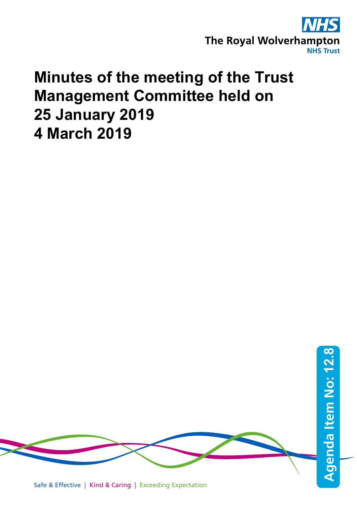

# **Minutes of the meeting of the Trust Management Committee held on 25 January 2019 4 March 2019**

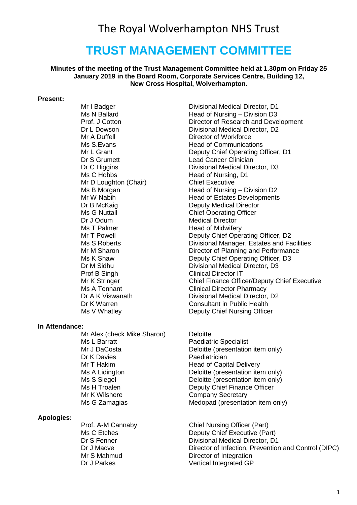# **TRUST MANAGEMENT COMMITTEE**

#### **Minutes of the meeting of the Trust Management Committee held at 1.30pm on Friday 25 January 2019 in the Board Room, Corporate Services Centre, Building 12, New Cross Hospital, Wolverhampton.**

#### **Present:**

Mr A Duffell **Director of Workforce**<br>Ms S Evans **Director Communication** Dr S Grumett Lead Cancer Clinician Ms C Hobbs Head of Nursing, D1 Mr D Loughton (Chair) Chief Executive Dr J Odum Medical Director Ms T Palmer **Head of Midwifery**<br>
Mr T Powell **Head of Midwifery** 

#### **In Attendance:**

Mr Alex (check Mike Sharon) Deloitte Ms L Barratt **Paediatric Specialist** Dr K Davies **Paediatrician** Mr T Hakim **Head of Capital Delivery** Mr K Wilshere **Company Secretary** 

#### **Apologies:**

Mr I Badger **Divisional Medical Director**, D1 Ms N Ballard **Head of Nursing – Division D3** Prof. J Cotton Director of Research and Development Dr L Dowson **Divisional Medical Director, D2 Head of Communications** Mr L Grant **Deputy Chief Operating Officer, D1** Dr C Higgins **Divisional Medical Director**, D3 Ms B Morgan **Manufall Company** Head of Nursing – Division D2 Mr W Nabih **Head of Estates Developments** Dr B McKaig **Deputy Medical Director**<br>
Ms G Nuttall **Deputy Chief Operating Officer Chief Operating Officer** Deputy Chief Operating Officer, D2 Ms S Roberts **Divisional Manager, Estates and Facilities** Mr M Sharon **Director of Planning and Performance** Ms K Shaw **Deputy Chief Operating Officer, D3**<br>Dr M Sidhu **Divisional Medical Director**, D3 Dr M Sidhu **Divisional Medical Director, D3**<br>Prof B Singh **Divisional Director IT** Clinical Director IT Mr K Stringer Chief Finance Officer/Deputy Chief Executive Ms A Tennant<br>
Dr A K Viswanath<br>
Divisional Medical Director Divisional Medical Director, D2 Dr K Warren **Consultant in Public Health** Ms V Whatley **Deputy Chief Nursing Officer** 

Mr J DaCosta **Deloitte** (presentation item only) Ms A Lidington **Michael Controllet Controllet Controllet Controllet Controllet Controllet Controllet Controlle<br>
Deloitte (presentation item only)<br>
Deloitte (presentation item only)** Ms S Siegel **Manual Strutte (presentation item only)**<br>Ms H Troalen **Manual Strutte Deputy Chief Finance Officer** Deputy Chief Finance Officer Ms G Zamagias Medopad (presentation item only)

Prof. A-M Cannaby Chief Nursing Officer (Part) Ms C Etches **Deputy Chief Executive (Part)**<br>Divisional Medical Director. D1 Divisional Medical Director, D1 Dr J Macve Director of Infection, Prevention and Control (DIPC)<br>Mr S Mahmud Director of Integration Director of Integration Dr J Parkes Vertical Integrated GP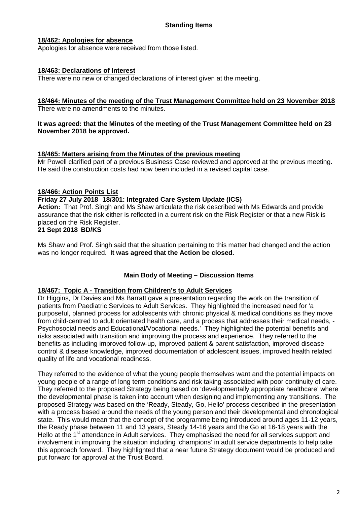#### **18/462: Apologies for absence**

Apologies for absence were received from those listed.

#### **18/463: Declarations of Interest**

There were no new or changed declarations of interest given at the meeting.

# **18/464: Minutes of the meeting of the Trust Management Committee held on 23 November 2018**

There were no amendments to the minutes.

#### **It was agreed: that the Minutes of the meeting of the Trust Management Committee held on 23 November 2018 be approved.**

#### **18/465: Matters arising from the Minutes of the previous meeting**

Mr Powell clarified part of a previous Business Case reviewed and approved at the previous meeting. He said the construction costs had now been included in a revised capital case.

#### **18/466: Action Points List**

#### **Friday 27 July 2018 18/301: Integrated Care System Update (ICS)**

**Action:** That Prof. Singh and Ms Shaw articulate the risk described with Ms Edwards and provide assurance that the risk either is reflected in a current risk on the Risk Register or that a new Risk is placed on the Risk Register.

#### **21 Sept 2018 BD/KS**

Ms Shaw and Prof. Singh said that the situation pertaining to this matter had changed and the action was no longer required. **It was agreed that the Action be closed.**

#### **Main Body of Meeting – Discussion Items**

#### **18/467: Topic A - Transition from Children's to Adult Services**

Dr Higgins, Dr Davies and Ms Barratt gave a presentation regarding the work on the transition of patients from Paediatric Services to Adult Services. They highlighted the increased need for 'a purposeful, planned process for adolescents with chronic physical & medical conditions as they move from child-centred to adult orientated health care, and a process that addresses their medical needs, - Psychosocial needs and Educational/Vocational needs.' They highlighted the potential benefits and risks associated with transition and improving the process and experience. They referred to the benefits as including improved follow-up, improved patient & parent satisfaction, improved disease control & disease knowledge, improved documentation of adolescent issues, improved health related quality of life and vocational readiness.

They referred to the evidence of what the young people themselves want and the potential impacts on young people of a range of long term conditions and risk taking associated with poor continuity of care. They referred to the proposed Strategy being based on 'developmentally appropriate healthcare' where the developmental phase is taken into account when designing and implementing any transitions. The proposed Strategy was based on the 'Ready, Steady, Go, Hello' process described in the presentation with a process based around the needs of the young person and their developmental and chronological state. This would mean that the concept of the programme being introduced around ages 11-12 years, the Ready phase between 11 and 13 years, Steady 14-16 years and the Go at 16-18 years with the Hello at the 1<sup>st</sup> attendance in Adult services. They emphasised the need for all services support and involvement in improving the situation including 'champions' in adult service departments to help take this approach forward. They highlighted that a near future Strategy document would be produced and put forward for approval at the Trust Board.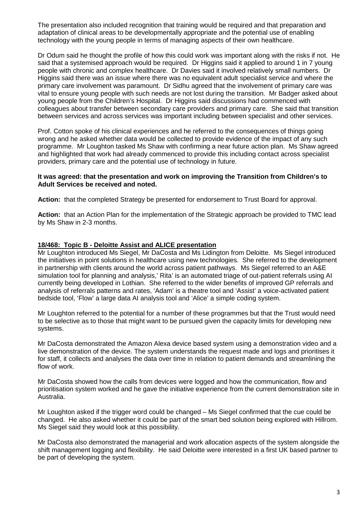The presentation also included recognition that training would be required and that preparation and adaptation of clinical areas to be developmentally appropriate and the potential use of enabling technology with the young people in terms of managing aspects of their own healthcare.

Dr Odum said he thought the profile of how this could work was important along with the risks if not. He said that a systemised approach would be required. Dr Higgins said it applied to around 1 in 7 young people with chronic and complex healthcare. Dr Davies said it involved relatively small numbers. Dr Higgins said there was an issue where there was no equivalent adult specialist service and where the primary care involvement was paramount. Dr Sidhu agreed that the involvement of primary care was vital to ensure young people with such needs are not lost during the transition. Mr Badger asked about young people from the Children's Hospital. Dr Higgins said discussions had commenced with colleagues about transfer between secondary care providers and primary care. She said that transition between services and across services was important including between specialist and other services.

Prof. Cotton spoke of his clinical experiences and he referred to the consequences of things going wrong and he asked whether data would be collected to provide evidence of the impact of any such programme. Mr Loughton tasked Ms Shaw with confirming a near future action plan. Ms Shaw agreed and highlighted that work had already commenced to provide this including contact across specialist providers, primary care and the potential use of technology in future.

#### **It was agreed: that the presentation and work on improving the Transition from Children's to Adult Services be received and noted.**

Action: that the completed Strategy be presented for endorsement to Trust Board for approval.

**Action:** that an Action Plan for the implementation of the Strategic approach be provided to TMC lead by Ms Shaw in 2-3 months.

#### **18/468: Topic B - Deloitte Assist and ALICE presentation**

Mr Loughton introduced Ms Siegel, Mr DaCosta and Ms Lidington from Deloitte. Ms Siegel introduced the initiatives in point solutions in healthcare using new technologies. She referred to the development in partnership with clients around the world across patient pathways. Ms Siegel referred to an A&E simulation tool for planning and analysis,' Rita' is an automated triage of out-patient referrals using AI currently being developed in Lothian. She referred to the wider benefits of improved GP referrals and analysis of referrals patterns and rates, 'Adam' is a theatre tool and 'Assist' a voice-activated patient bedside tool, 'Flow' a large data AI analysis tool and 'Alice' a simple coding system.

Mr Loughton referred to the potential for a number of these programmes but that the Trust would need to be selective as to those that might want to be pursued given the capacity limits for developing new systems.

Mr DaCosta demonstrated the Amazon Alexa device based system using a demonstration video and a live demonstration of the device. The system understands the request made and logs and prioritises it for staff, it collects and analyses the data over time in relation to patient demands and streamlining the flow of work.

Mr DaCosta showed how the calls from devices were logged and how the communication, flow and prioritisation system worked and he gave the initiative experience from the current demonstration site in Australia.

Mr Loughton asked if the trigger word could be changed – Ms Siegel confirmed that the cue could be changed. He also asked whether it could be part of the smart bed solution being explored with Hillrom. Ms Siegel said they would look at this possibility.

Mr DaCosta also demonstrated the managerial and work allocation aspects of the system alongside the shift management logging and flexibility. He said Deloitte were interested in a first UK based partner to be part of developing the system.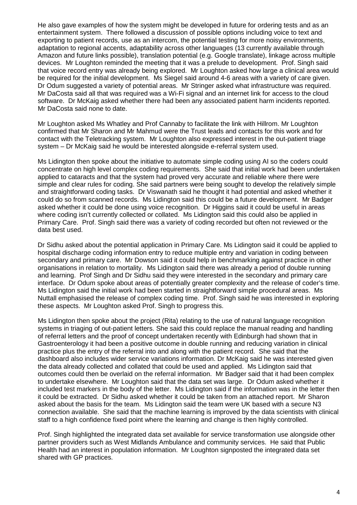He also gave examples of how the system might be developed in future for ordering tests and as an entertainment system. There followed a discussion of possible options including voice to text and exporting to patient records, use as an intercom, the potential testing for more noisy environments, adaptation to regional accents, adaptability across other languages (13 currently available through Amazon and future links possible), translation potential (e.g. Google translate), linkage across multiple devices. Mr Loughton reminded the meeting that it was a prelude to development. Prof. Singh said that voice record entry was already being explored. Mr Loughton asked how large a clinical area would be required for the initial development. Ms Siegel said around 4-6 areas with a variety of care given. Dr Odum suggested a variety of potential areas. Mr Stringer asked what infrastructure was required. Mr DaCosta said all that was required was a Wi-Fi signal and an internet link for access to the cloud software. Dr McKaig asked whether there had been any associated patient harm incidents reported. Mr DaCosta said none to date.

Mr Loughton asked Ms Whatley and Prof Cannaby to facilitate the link with Hillrom. Mr Loughton confirmed that Mr Sharon and Mr Mahmud were the Trust leads and contacts for this work and for contact with the Teletracking system. Mr Loughton also expressed interest in the out-patient triage system – Dr McKaig said he would be interested alongside e-referral system used.

Ms Lidington then spoke about the initiative to automate simple coding using AI so the coders could concentrate on high level complex coding requirements. She said that initial work had been undertaken applied to cataracts and that the system had proved very accurate and reliable where there were simple and clear rules for coding. She said partners were being sought to develop the relatively simple and straightforward coding tasks. Dr Viswanath said he thought it had potential and asked whether it could do so from scanned records. Ms Lidington said this could be a future development. Mr Badger asked whether it could be done using voice recognition. Dr Higgins said it could be useful in areas where coding isn't currently collected or collated. Ms Lidington said this could also be applied in Primary Care. Prof. Singh said there was a variety of coding recorded but often not reviewed or the data best used.

Dr Sidhu asked about the potential application in Primary Care. Ms Lidington said it could be applied to hospital discharge coding information entry to reduce multiple entry and variation in coding between secondary and primary care. Mr Dowson said it could help in benchmarking against practice in other organisations in relation to mortality. Ms Lidington said there was already a period of double running and learning. Prof Singh and Dr Sidhu said they were interested in the secondary and primary care interface. Dr Odum spoke about areas of potentially greater complexity and the release of coder's time. Ms Lidington said the initial work had been started in straightforward simple procedural areas. Ms Nuttall emphasised the release of complex coding time. Prof. Singh said he was interested in exploring these aspects. Mr Loughton asked Prof. Singh to progress this.

Ms Lidington then spoke about the project (Rita) relating to the use of natural language recognition systems in triaging of out-patient letters. She said this could replace the manual reading and handling of referral letters and the proof of concept undertaken recently with Edinburgh had shown that in Gastroenterology it had been a positive outcome in double running and reducing variation in clinical practice plus the entry of the referral into and along with the patient record. She said that the dashboard also includes wider service variations information. Dr McKaig said he was interested given the data already collected and collated that could be used and applied. Ms Lidington said that outcomes could then be overlaid on the referral information. Mr Badger said that it had been complex to undertake elsewhere. Mr Loughton said that the data set was large. Dr Odum asked whether it included test markers in the body of the letter. Ms Lidington said if the information was in the letter then it could be extracted. Dr Sidhu asked whether it could be taken from an attached report. Mr Sharon asked about the basis for the team. Ms Lidington said the team were UK based with a secure N3 connection available. She said that the machine learning is improved by the data scientists with clinical staff to a high confidence fixed point where the learning and change is then highly controlled.

Prof. Singh highlighted the integrated data set available for service transformation use alongside other partner providers such as West Midlands Ambulance and community services. He said that Public Health had an interest in population information. Mr Loughton signposted the integrated data set shared with GP practices.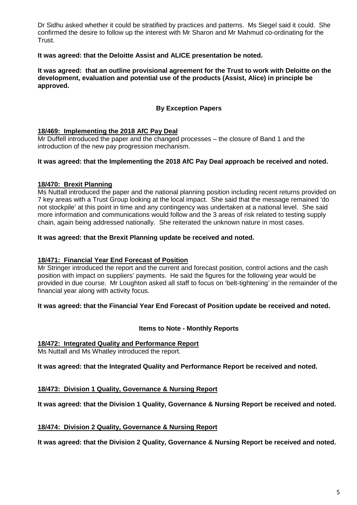Dr Sidhu asked whether it could be stratified by practices and patterns. Ms Siegel said it could. She confirmed the desire to follow up the interest with Mr Sharon and Mr Mahmud co-ordinating for the Trust.

#### **It was agreed: that the Deloitte Assist and ALICE presentation be noted.**

**It was agreed: that an outline provisional agreement for the Trust to work with Deloitte on the development, evaluation and potential use of the products (Assist, Alice) in principle be approved.**

#### **By Exception Papers**

#### **18/469: Implementing the 2018 AfC Pay Deal**

Mr Duffell introduced the paper and the changed processes – the closure of Band 1 and the introduction of the new pay progression mechanism.

#### **It was agreed: that the Implementing the 2018 AfC Pay Deal approach be received and noted.**

#### **18/470: Brexit Planning**

Ms Nuttall introduced the paper and the national planning position including recent returns provided on 7 key areas with a Trust Group looking at the local impact. She said that the message remained 'do not stockpile' at this point in time and any contingency was undertaken at a national level. She said more information and communications would follow and the 3 areas of risk related to testing supply chain, again being addressed nationally. She reiterated the unknown nature in most cases.

#### **It was agreed: that the Brexit Planning update be received and noted.**

#### **18/471: Financial Year End Forecast of Position**

Mr Stringer introduced the report and the current and forecast position, control actions and the cash position with impact on suppliers' payments. He said the figures for the following year would be provided in due course. Mr Loughton asked all staff to focus on 'belt-tightening' in the remainder of the financial year along with activity focus.

#### **It was agreed: that the Financial Year End Forecast of Position update be received and noted.**

#### **Items to Note - Monthly Reports**

#### **18/472: Integrated Quality and Performance Report**

Ms Nuttall and Ms Whatley introduced the report.

**It was agreed: that the Integrated Quality and Performance Report be received and noted.**

#### **18/473: Division 1 Quality, Governance & Nursing Report**

**It was agreed: that the Division 1 Quality, Governance & Nursing Report be received and noted.**

#### **18/474: Division 2 Quality, Governance & Nursing Report**

**It was agreed: that the Division 2 Quality, Governance & Nursing Report be received and noted.**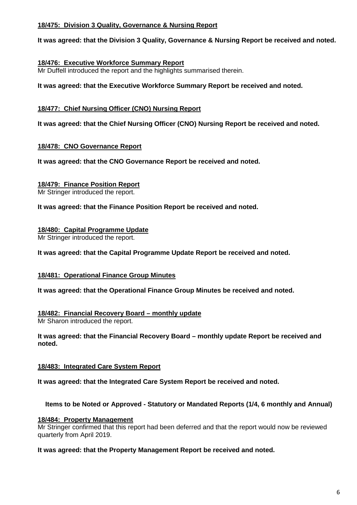#### **18/475: Division 3 Quality, Governance & Nursing Report**

**It was agreed: that the Division 3 Quality, Governance & Nursing Report be received and noted.**

#### **18/476: Executive Workforce Summary Report**

Mr Duffell introduced the report and the highlights summarised therein.

**It was agreed: that the Executive Workforce Summary Report be received and noted.**

#### **18/477: Chief Nursing Officer (CNO) Nursing Report**

**It was agreed: that the Chief Nursing Officer (CNO) Nursing Report be received and noted.**

#### **18/478: CNO Governance Report**

**It was agreed: that the CNO Governance Report be received and noted.**

#### **18/479: Finance Position Report**

Mr Stringer introduced the report.

#### **It was agreed: that the Finance Position Report be received and noted.**

#### **18/480: Capital Programme Update**

Mr Stringer introduced the report.

#### **It was agreed: that the Capital Programme Update Report be received and noted.**

#### **18/481: Operational Finance Group Minutes**

**It was agreed: that the Operational Finance Group Minutes be received and noted.**

### **18/482: Financial Recovery Board – monthly update**

Mr Sharon introduced the report.

**It was agreed: that the Financial Recovery Board – monthly update Report be received and noted.**

#### **18/483: Integrated Care System Report**

**It was agreed: that the Integrated Care System Report be received and noted.**

#### **Items to be Noted or Approved - Statutory or Mandated Reports (1/4, 6 monthly and Annual)**

#### **18/484: Property Management**

Mr Stringer confirmed that this report had been deferred and that the report would now be reviewed quarterly from April 2019.

#### **It was agreed: that the Property Management Report be received and noted.**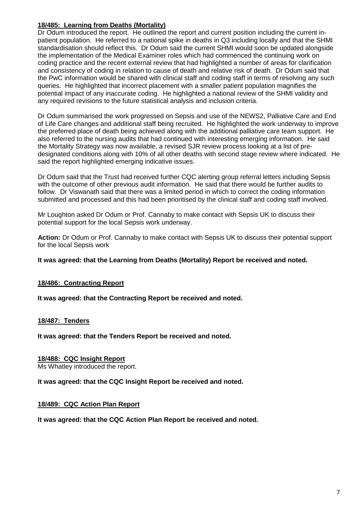## **18/485: Learning from Deaths (Mortality)**

Dr Odum introduced the report. He outlined the report and current position including the current inpatient population. He referred to a national spike in deaths in Q3 including locally and that the SHMI standardisation should reflect this. Dr Odum said the current SHMI would soon be updated alongside the implementation of the Medical Examiner roles which had commenced the continuing work on coding practice and the recent external review that had highlighted a number of areas for clarification and consistency of coding in relation to cause of death and relative risk of death. Dr Odum said that the PwC information would be shared with clinical staff and coding staff in terms of resolving any such queries. He highlighted that incorrect placement with a smaller patient population magnifies the potential impact of any inaccurate coding. He highlighted a national review of the SHMI validity and any required revisions to the future statistical analysis and inclusion criteria.

Dr Odum summarised the work progressed on Sepsis and use of the NEWS2, Palliative Care and End of Life Care changes and additional staff being recruited. He highlighted the work underway to improve the preferred place of death being achieved along with the additional palliative care team support. He also referred to the nursing audits that had continued with interesting emerging information. He said the Mortality Strategy was now available, a revised SJR review process looking at a list of predesignated conditions along with 10% of all other deaths with second stage review where indicated. He said the report highlighted emerging indicative issues.

Dr Odum said that the Trust had received further CQC alerting group referral letters including Sepsis with the outcome of other previous audit information. He said that there would be further audits to follow. Dr Viswanath said that there was a limited period in which to correct the coding information submitted and processed and this had been prioritised by the clinical staff and coding staff involved.

Mr Loughton asked Dr Odum or Prof. Cannaby to make contact with Sepsis UK to discuss their potential support for the local Sepsis work underway.

**Action:** Dr Odum or Prof. Cannaby to make contact with Sepsis UK to discuss their potential support for the local Sepsis work

**It was agreed: that the Learning from Deaths (Mortality) Report be received and noted.**

#### **18/486: Contracting Report**

**It was agreed: that the Contracting Report be received and noted.**

#### **18/487: Tenders**

**It was agreed: that the Tenders Report be received and noted.**

#### **18/488: CQC Insight Report**

Ms Whatley introduced the report.

**It was agreed: that the CQC Insight Report be received and noted.**

#### **18/489: CQC Action Plan Report**

**It was agreed: that the CQC Action Plan Report be received and noted.**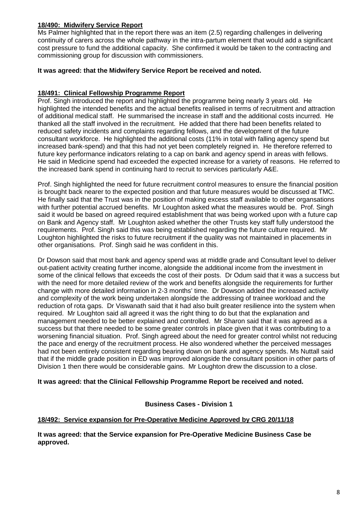#### **18/490: Midwifery Service Report**

Ms Palmer highlighted that in the report there was an item (2.5) regarding challenges in delivering continuity of carers across the whole pathway in the intra-partum element that would add a significant cost pressure to fund the additional capacity. She confirmed it would be taken to the contracting and commissioning group for discussion with commissioners.

#### **It was agreed: that the Midwifery Service Report be received and noted.**

#### **18/491: Clinical Fellowship Programme Report**

Prof. Singh introduced the report and highlighted the programme being nearly 3 years old. He highlighted the intended benefits and the actual benefits realised in terms of recruitment and attraction of additional medical staff. He summarised the increase in staff and the additional costs incurred. He thanked all the staff involved in the recruitment. He added that there had been benefits related to reduced safety incidents and complaints regarding fellows, and the development of the future consultant workforce. He highlighted the additional costs (11% in total with falling agency spend but increased bank-spend) and that this had not yet been completely reigned in. He therefore referred to future key performance indicators relating to a cap on bank and agency spend in areas with fellows. He said in Medicine spend had exceeded the expected increase for a variety of reasons. He referred to the increased bank spend in continuing hard to recruit to services particularly A&E.

Prof. Singh highlighted the need for future recruitment control measures to ensure the financial position is brought back nearer to the expected position and that future measures would be discussed at TMC. He finally said that the Trust was in the position of making excess staff available to other organsations with further potential accrued benefits. Mr Loughton asked what the measures would be. Prof. Singh said it would be based on agreed required establishment that was being worked upon with a future cap on Bank and Agency staff. Mr Loughton asked whether the other Trusts key staff fully understood the requirements. Prof. Singh said this was being established regarding the future culture required. Mr Loughton highlighted the risks to future recruitment if the quality was not maintained in placements in other organisations. Prof. Singh said he was confident in this.

Dr Dowson said that most bank and agency spend was at middle grade and Consultant level to deliver out-patient activity creating further income, alongside the additional income from the investment in some of the clinical fellows that exceeds the cost of their posts. Dr Odum said that it was a success but with the need for more detailed review of the work and benefits alongside the requirements for further change with more detailed information in 2-3 months' time. Dr Dowson added the increased activity and complexity of the work being undertaken alongside the addressing of trainee workload and the reduction of rota gaps. Dr Viswanath said that it had also built greater resilience into the system when required. Mr Loughton said all agreed it was the right thing to do but that the explanation and management needed to be better explained and controlled. Mr Sharon said that it was agreed as a success but that there needed to be some greater controls in place given that it was contributing to a worsening financial situation. Prof. Singh agreed about the need for greater control whilst not reducing the pace and energy of the recruitment process. He also wondered whether the perceived messages had not been entirely consistent regarding bearing down on bank and agency spends. Ms Nuttall said that if the middle grade position in ED was improved alongside the consultant position in other parts of Division 1 then there would be considerable gains. Mr Loughton drew the discussion to a close.

#### **It was agreed: that the Clinical Fellowship Programme Report be received and noted.**

#### **Business Cases - Division 1**

#### **18/492: Service expansion for Pre-Operative Medicine Approved by CRG 20/11/18**

**It was agreed: that the Service expansion for Pre-Operative Medicine Business Case be approved.**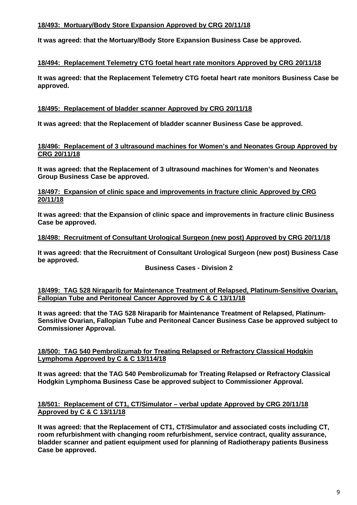#### **18/493: Mortuary/Body Store Expansion Approved by CRG 20/11/18**

**It was agreed: that the Mortuary/Body Store Expansion Business Case be approved.**

#### **18/494: Replacement Telemetry CTG foetal heart rate monitors Approved by CRG 20/11/18**

**It was agreed: that the Replacement Telemetry CTG foetal heart rate monitors Business Case be approved.**

#### **18/495: Replacement of bladder scanner Approved by CRG 20/11/18**

**It was agreed: that the Replacement of bladder scanner Business Case be approved.**

#### **18/496: Replacement of 3 ultrasound machines for Women's and Neonates Group Approved by CRG 20/11/18**

**It was agreed: that the Replacement of 3 ultrasound machines for Women's and Neonates Group Business Case be approved.**

**18/497: Expansion of clinic space and improvements in fracture clinic Approved by CRG 20/11/18**

**It was agreed: that the Expansion of clinic space and improvements in fracture clinic Business Case be approved.**

#### **18/498: Recruitment of Consultant Urological Surgeon (new post) Approved by CRG 20/11/18**

**It was agreed: that the Recruitment of Consultant Urological Surgeon (new post) Business Case be approved.**

#### **Business Cases - Division 2**

#### **18/499: TAG 528 Niraparib for Maintenance Treatment of Relapsed, Platinum-Sensitive Ovarian, Fallopian Tube and Peritoneal Cancer Approved by C & C 13/11/18**

**It was agreed: that the TAG 528 Niraparib for Maintenance Treatment of Relapsed, Platinum-Sensitive Ovarian, Fallopian Tube and Peritoneal Cancer Business Case be approved subject to Commissioner Approval.**

#### **18/500: TAG 540 Pembrolizumab for Treating Relapsed or Refractory Classical Hodgkin Lymphoma Approved by C & C 13/114/18**

**It was agreed: that the TAG 540 Pembrolizumab for Treating Relapsed or Refractory Classical Hodgkin Lymphoma Business Case be approved subject to Commissioner Approval.**

#### **18/501: Replacement of CT1, CT/Simulator – verbal update Approved by CRG 20/11/18 Approved by C & C 13/11/18**

**It was agreed: that the Replacement of CT1, CT/Simulator and associated costs including CT, room refurbishment with changing room refurbishment, service contract, quality assurance, bladder scanner and patient equipment used for planning of Radiotherapy patients Business Case be approved.**